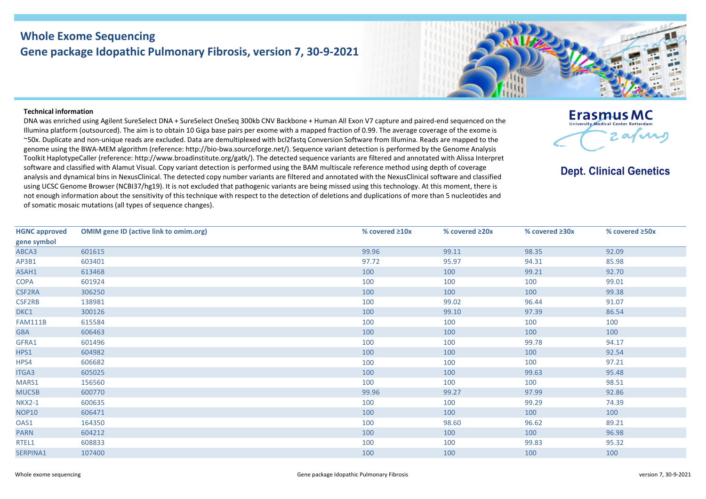## **Whole Exome Sequencing Gene package Idopathic Pulmonary Fibrosis, version 7, 30-9-2021**



## **Technical information**

DNA was enriched using Agilent SureSelect DNA + SureSelect OneSeq 300kb CNV Backbone + Human All Exon V7 capture and paired-end sequenced on the Illumina platform (outsourced). The aim is to obtain 10 Giga base pairs per exome with a mapped fraction of 0.99. The average coverage of the exome is ~50x. Duplicate and non-unique reads are excluded. Data are demultiplexed with bcl2fastq Conversion Software from Illumina. Reads are mapped to the genome using the BWA-MEM algorithm (reference: http://bio-bwa.sourceforge.net/). Sequence variant detection is performed by the Genome Analysis Toolkit HaplotypeCaller (reference: http://www.broadinstitute.org/gatk/). The detected sequence variants are filtered and annotated with Alissa Interpret software and classified with Alamut Visual. Copy variant detection is performed using the BAM multiscale reference method using depth of coverage analysis and dynamical bins in NexusClinical. The detected copy number variants are filtered and annotated with the NexusClinical software and classified using UCSC Genome Browser (NCBI37/hg19). It is not excluded that pathogenic variants are being missed using this technology. At this moment, there is not enough information about the sensitivity of this technique with respect to the detection of deletions and duplications of more than 5 nucleotides and of somatic mosaic mutations (all types of sequence changes).



## **Dept. Clinical Genetics**

| <b>HGNC approved</b> | <b>OMIM gene ID (active link to omim.org)</b> | % covered ≥10x | % covered ≥20x | % covered $\geq 30x$ | % covered ≥50x |
|----------------------|-----------------------------------------------|----------------|----------------|----------------------|----------------|
| gene symbol          |                                               |                |                |                      |                |
| ABCA3                | 601615                                        | 99.96          | 99.11          | 98.35                | 92.09          |
| AP3B1                | 603401                                        | 97.72          | 95.97          | 94.31                | 85.98          |
| ASAH1                | 613468                                        | 100            | 100            | 99.21                | 92.70          |
| <b>COPA</b>          | 601924                                        | 100            | 100            | 100                  | 99.01          |
| CSF2RA               | 306250                                        | 100            | 100            | 100                  | 99.38          |
| CSF2RB               | 138981                                        | 100            | 99.02          | 96.44                | 91.07          |
| DKC1                 | 300126                                        | 100            | 99.10          | 97.39                | 86.54          |
| <b>FAM111B</b>       | 615584                                        | 100            | 100            | 100                  | 100            |
| <b>GBA</b>           | 606463                                        | 100            | 100            | 100                  | 100            |
| GFRA1                | 601496                                        | 100            | 100            | 99.78                | 94.17          |
| HPS1                 | 604982                                        | 100            | 100            | 100                  | 92.54          |
| HPS4                 | 606682                                        | 100            | 100            | 100                  | 97.21          |
| ITGA3                | 605025                                        | 100            | 100            | 99.63                | 95.48          |
| MARS1                | 156560                                        | 100            | 100            | 100                  | 98.51          |
| MUC5B                | 600770                                        | 99.96          | 99.27          | 97.99                | 92.86          |
| <b>NKX2-1</b>        | 600635                                        | 100            | 100            | 99.29                | 74.39          |
| <b>NOP10</b>         | 606471                                        | 100            | 100            | 100                  | 100            |
| OAS1                 | 164350                                        | 100            | 98.60          | 96.62                | 89.21          |
| <b>PARN</b>          | 604212                                        | 100            | 100            | 100                  | 96.98          |
| RTEL1                | 608833                                        | 100            | 100            | 99.83                | 95.32          |
| SERPINA1             | 107400                                        | 100            | 100            | 100                  | 100            |